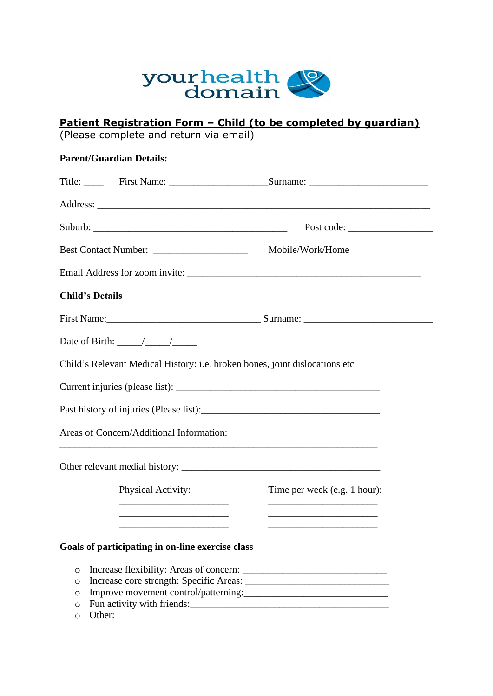

## **Patient Registration Form – Child (to be completed by guardian)**

(Please complete and return via email)

| <b>Parent/Guardian Details:</b>                                                                                              |                              |
|------------------------------------------------------------------------------------------------------------------------------|------------------------------|
|                                                                                                                              |                              |
|                                                                                                                              |                              |
|                                                                                                                              | Post code:                   |
|                                                                                                                              |                              |
|                                                                                                                              |                              |
| <b>Child's Details</b>                                                                                                       |                              |
|                                                                                                                              |                              |
| Date of Birth: $\frac{\sqrt{2}}{2}$                                                                                          |                              |
| Child's Relevant Medical History: i.e. broken bones, joint dislocations etc                                                  |                              |
|                                                                                                                              |                              |
|                                                                                                                              |                              |
| Areas of Concern/Additional Information:<br>,我们也不会有什么。""我们的人,我们也不会有什么?""我们的人,我们也不会有什么?""我们的人,我们也不会有什么?""我们的人,我们也不会有什么?""我们的人 |                              |
|                                                                                                                              |                              |
| Physical Activity:                                                                                                           | Time per week (e.g. 1 hour): |
|                                                                                                                              |                              |
| Goals of participating in on-line exercise class                                                                             |                              |
|                                                                                                                              |                              |
| $\circ$                                                                                                                      |                              |
| $\circ$                                                                                                                      |                              |
| O<br>Fun activity with friends: [10] The Manual Manual Manual Manual Manual Manual Manual Manual Manual Manual Manua<br>O    |                              |
| $\circ$                                                                                                                      |                              |